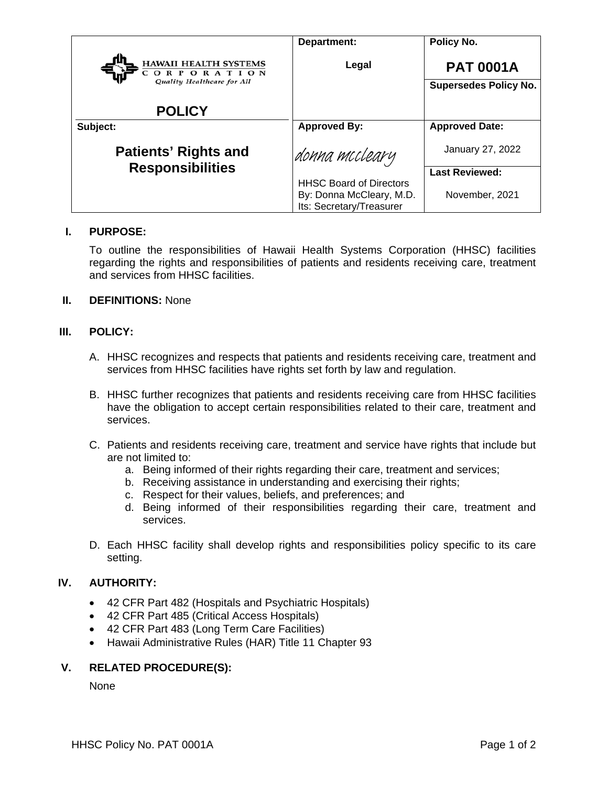|                                            | Department:                                                                            | Policy No.                   |
|--------------------------------------------|----------------------------------------------------------------------------------------|------------------------------|
| <b>HAWAII HEALTH SYSTEMS</b><br>ORPORATION | Legal                                                                                  | <b>PAT 0001A</b>             |
| Quality Healthcare for All                 |                                                                                        | <b>Supersedes Policy No.</b> |
| <b>POLICY</b>                              |                                                                                        |                              |
| Subject:                                   | <b>Approved By:</b>                                                                    | <b>Approved Date:</b>        |
| <b>Patients' Rights and</b>                | donna mccleary                                                                         | January 27, 2022             |
| <b>Responsibilities</b>                    |                                                                                        | <b>Last Reviewed:</b>        |
|                                            | <b>HHSC Board of Directors</b><br>By: Donna McCleary, M.D.<br>Its: Secretary/Treasurer | November, 2021               |

## **I. PURPOSE:**

To outline the responsibilities of Hawaii Health Systems Corporation (HHSC) facilities regarding the rights and responsibilities of patients and residents receiving care, treatment and services from HHSC facilities.

# **II. DEFINITIONS:** None

#### **III. POLICY:**

- A. HHSC recognizes and respects that patients and residents receiving care, treatment and services from HHSC facilities have rights set forth by law and regulation.
- B. HHSC further recognizes that patients and residents receiving care from HHSC facilities have the obligation to accept certain responsibilities related to their care, treatment and services.
- C. Patients and residents receiving care, treatment and service have rights that include but are not limited to:
	- a. Being informed of their rights regarding their care, treatment and services;
	- b. Receiving assistance in understanding and exercising their rights;
	- c. Respect for their values, beliefs, and preferences; and
	- d. Being informed of their responsibilities regarding their care, treatment and services.
- D. Each HHSC facility shall develop rights and responsibilities policy specific to its care setting.

#### **IV. AUTHORITY:**

- 42 CFR Part 482 (Hospitals and Psychiatric Hospitals)
- 42 CFR Part 485 (Critical Access Hospitals)
- 42 CFR Part 483 (Long Term Care Facilities)
- Hawaii Administrative Rules (HAR) Title 11 Chapter 93

## **V. RELATED PROCEDURE(S):**

None